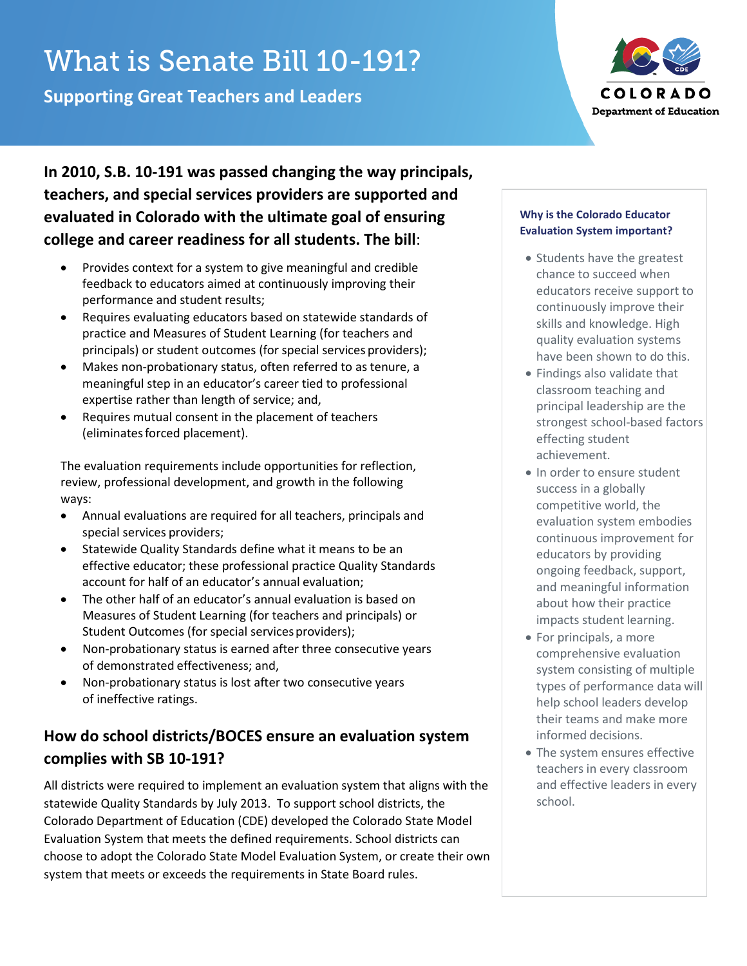# What is Senate Bill 10-191?

**Supporting Great Teachers and Leaders**



**In 2010, S.B. 10-191 was passed changing the way principals, teachers, and special services providers are supported and evaluated in Colorado with the ultimate goal of ensuring college and career readiness for all students. The bill**:

- Provides context for a system to give meaningful and credible feedback to educators aimed at continuously improving their performance and student results;
- Requires evaluating educators based on statewide standards of practice and Measures of Student Learning (for teachers and principals) or student outcomes (for special services providers);
- Makes non-probationary status, often referred to as tenure, a meaningful step in an educator's career tied to professional expertise rather than length of service; and,
- Requires mutual consent in the placement of teachers (eliminatesforced placement).

The evaluation requirements include opportunities for reflection, review, professional development, and growth in the following ways:

- Annual evaluations are required for all teachers, principals and special services providers;
- Statewide Quality Standards define what it means to be an effective educator; these professional practice Quality Standards account for half of an educator's annual evaluation;
- The other half of an educator's annual evaluation is based on Measures of Student Learning (for teachers and principals) or Student Outcomes (for special services providers);
- Non-probationary status is earned after three consecutive years of demonstrated effectiveness; and,
- Non-probationary status is lost after two consecutive years of ineffective ratings.

# **How do school districts/BOCES ensure an evaluation system complies with SB 10-191?**

All districts were required to implement an evaluation system that aligns with the statewide Quality Standards by July 2013. To support school districts, the Colorado Department of Education (CDE) developed the Colorado State Model Evaluation System that meets the defined requirements. School districts can choose to adopt the Colorado State Model Evaluation System, or create their own system that meets or exceeds the requirements in State Board rules.

### **Why is the Colorado Educator Evaluation System important?**

- Students have the greatest chance to succeed when educators receive support to continuously improve their skills and knowledge. High quality evaluation systems have been shown to do this.
- Findings also validate that classroom teaching and principal leadership are the strongest school-based factors effecting student achievement.
- In order to ensure student success in a globally competitive world, the evaluation system embodies continuous improvement for educators by providing ongoing feedback, support, and meaningful information about how their practice impacts student learning.
- For principals, a more comprehensive evaluation system consisting of multiple types of performance data will help school leaders develop their teams and make more informed decisions.
- The system ensures effective teachers in every classroom and effective leaders in every school.